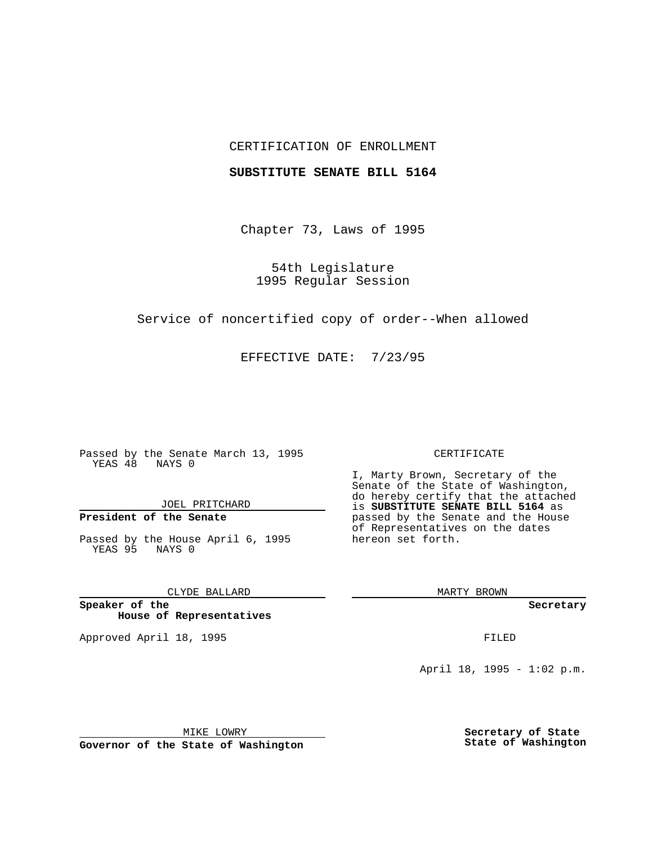## CERTIFICATION OF ENROLLMENT

### **SUBSTITUTE SENATE BILL 5164**

Chapter 73, Laws of 1995

54th Legislature 1995 Regular Session

Service of noncertified copy of order--When allowed

EFFECTIVE DATE: 7/23/95

Passed by the Senate March 13, 1995 YEAS 48 NAYS 0

JOEL PRITCHARD

# **President of the Senate**

Passed by the House April 6, 1995 YEAS 95 NAYS 0

CLYDE BALLARD

**Speaker of the House of Representatives**

Approved April 18, 1995 FILED

#### CERTIFICATE

I, Marty Brown, Secretary of the Senate of the State of Washington, do hereby certify that the attached is **SUBSTITUTE SENATE BILL 5164** as passed by the Senate and the House of Representatives on the dates hereon set forth.

MARTY BROWN

**Secretary**

April 18, 1995 - 1:02 p.m.

MIKE LOWRY **Governor of the State of Washington** **Secretary of State State of Washington**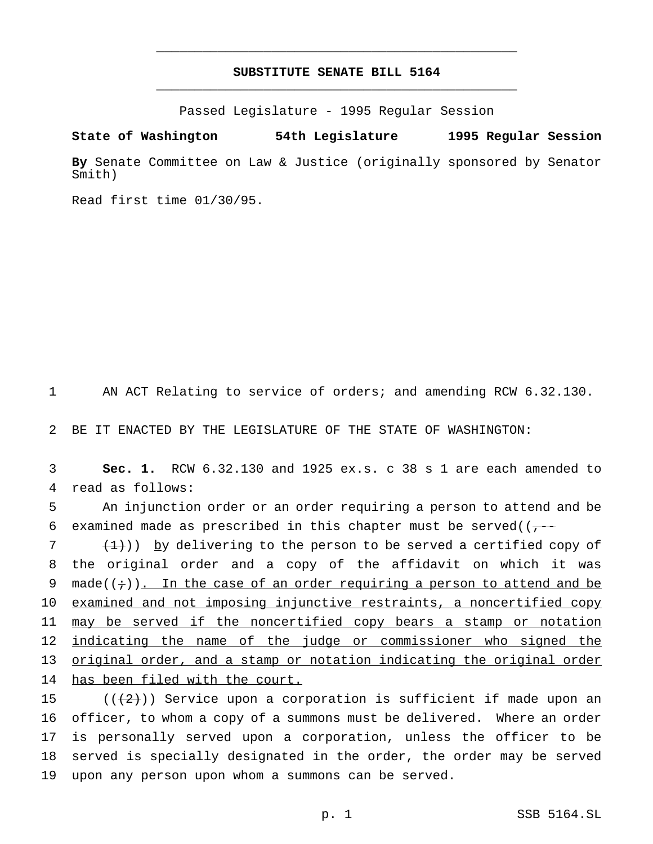## **SUBSTITUTE SENATE BILL 5164** \_\_\_\_\_\_\_\_\_\_\_\_\_\_\_\_\_\_\_\_\_\_\_\_\_\_\_\_\_\_\_\_\_\_\_\_\_\_\_\_\_\_\_\_\_\_\_

\_\_\_\_\_\_\_\_\_\_\_\_\_\_\_\_\_\_\_\_\_\_\_\_\_\_\_\_\_\_\_\_\_\_\_\_\_\_\_\_\_\_\_\_\_\_\_

Passed Legislature - 1995 Regular Session

**State of Washington 54th Legislature 1995 Regular Session**

**By** Senate Committee on Law & Justice (originally sponsored by Senator Smith)

Read first time 01/30/95.

1 AN ACT Relating to service of orders; and amending RCW 6.32.130.

2 BE IT ENACTED BY THE LEGISLATURE OF THE STATE OF WASHINGTON:

3 **Sec. 1.** RCW 6.32.130 and 1925 ex.s. c 38 s 1 are each amended to 4 read as follows:

5 An injunction order or an order requiring a person to attend and be 6 examined made as prescribed in this chapter must be served( $(-$ --

 $7$   $(1)$ ) by delivering to the person to be served a certified copy of 8 the original order and a copy of the affidavit on which it was 9 made( $(+)$ ). In the case of an order requiring a person to attend and be 10 examined and not imposing injunctive restraints, a noncertified copy 11 may be served if the noncertified copy bears a stamp or notation 12 indicating the name of the judge or commissioner who signed the 13 original order, and a stamp or notation indicating the original order 14 has been filed with the court.

15 ( $(\frac{1}{2})$ ) Service upon a corporation is sufficient if made upon an officer, to whom a copy of a summons must be delivered. Where an order is personally served upon a corporation, unless the officer to be served is specially designated in the order, the order may be served upon any person upon whom a summons can be served.